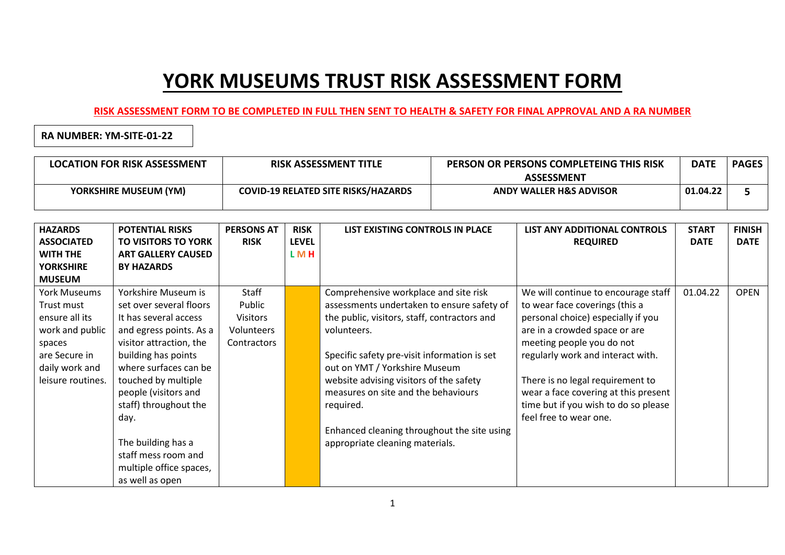## **YORK MUSEUMS TRUST RISK ASSESSMENT FORM**

## **RISK ASSESSMENT FORM TO BE COMPLETED IN FULL THEN SENT TO HEALTH & SAFETY FOR FINAL APPROVAL AND A RA NUMBER**

**RA NUMBER: YM-SITE-01-22**

| <b>LOCATION FOR RISK ASSESSMENT</b> | <b>RISK ASSESSMENT TITLE</b>               | PERSON OR PERSONS COMPLETEING THIS RISK | <b>DATE</b> | <b>PAGES</b> |
|-------------------------------------|--------------------------------------------|-----------------------------------------|-------------|--------------|
|                                     |                                            | <b>ASSESSMENT</b>                       |             |              |
| <b>YORKSHIRE MUSEUM (YM)</b>        | <b>COVID-19 RELATED SITE RISKS/HAZARDS</b> | <b>ANDY WALLER H&amp;S ADVISOR</b>      | 01.04.22    |              |
|                                     |                                            |                                         |             |              |

| <b>HAZARDS</b><br><b>ASSOCIATED</b><br><b>WITH THE</b> | <b>POTENTIAL RISKS</b><br><b>TO VISITORS TO YORK</b><br><b>ART GALLERY CAUSED</b> | <b>PERSONS AT</b><br><b>RISK</b> | <b>RISK</b><br><b>LEVEL</b><br>LMH | LIST EXISTING CONTROLS IN PLACE              | LIST ANY ADDITIONAL CONTROLS<br><b>REQUIRED</b> | <b>START</b><br><b>DATE</b> | <b>FINISH</b><br><b>DATE</b> |
|--------------------------------------------------------|-----------------------------------------------------------------------------------|----------------------------------|------------------------------------|----------------------------------------------|-------------------------------------------------|-----------------------------|------------------------------|
| <b>YORKSHIRE</b>                                       | <b>BY HAZARDS</b>                                                                 |                                  |                                    |                                              |                                                 |                             |                              |
| <b>MUSEUM</b>                                          |                                                                                   |                                  |                                    |                                              |                                                 |                             |                              |
| <b>York Museums</b>                                    | Yorkshire Museum is                                                               | Staff                            |                                    | Comprehensive workplace and site risk        | We will continue to encourage staff             | 01.04.22                    | <b>OPEN</b>                  |
| Trust must                                             | set over several floors                                                           | Public                           |                                    | assessments undertaken to ensure safety of   | to wear face coverings (this a                  |                             |                              |
| ensure all its                                         | It has several access                                                             | <b>Visitors</b>                  |                                    | the public, visitors, staff, contractors and | personal choice) especially if you              |                             |                              |
| work and public                                        | and egress points. As a                                                           | Volunteers                       |                                    | volunteers.                                  | are in a crowded space or are                   |                             |                              |
| spaces                                                 | visitor attraction, the                                                           | Contractors                      |                                    |                                              | meeting people you do not                       |                             |                              |
| are Secure in                                          | building has points                                                               |                                  |                                    | Specific safety pre-visit information is set | regularly work and interact with.               |                             |                              |
| daily work and                                         | where surfaces can be                                                             |                                  |                                    | out on YMT / Yorkshire Museum                |                                                 |                             |                              |
| leisure routines.                                      | touched by multiple                                                               |                                  |                                    | website advising visitors of the safety      | There is no legal requirement to                |                             |                              |
|                                                        | people (visitors and                                                              |                                  |                                    | measures on site and the behaviours          | wear a face covering at this present            |                             |                              |
|                                                        | staff) throughout the                                                             |                                  |                                    | required.                                    | time but if you wish to do so please            |                             |                              |
|                                                        | day.                                                                              |                                  |                                    |                                              | feel free to wear one.                          |                             |                              |
|                                                        |                                                                                   |                                  |                                    | Enhanced cleaning throughout the site using  |                                                 |                             |                              |
|                                                        | The building has a                                                                |                                  |                                    | appropriate cleaning materials.              |                                                 |                             |                              |
|                                                        | staff mess room and                                                               |                                  |                                    |                                              |                                                 |                             |                              |
|                                                        | multiple office spaces,                                                           |                                  |                                    |                                              |                                                 |                             |                              |
|                                                        | as well as open                                                                   |                                  |                                    |                                              |                                                 |                             |                              |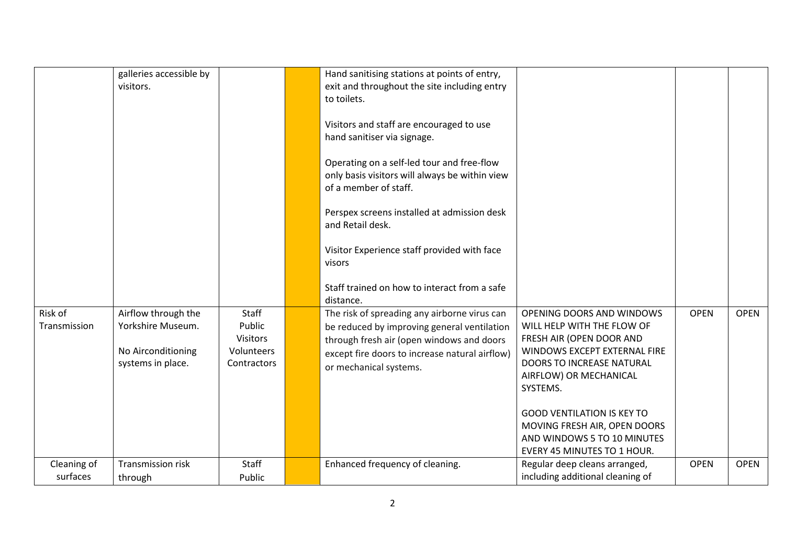|                         | galleries accessible by<br>visitors.                                                |                                                                 | Hand sanitising stations at points of entry,<br>exit and throughout the site including entry<br>to toilets.                                                                                                          |                                                                                                                                                                                        |             |             |
|-------------------------|-------------------------------------------------------------------------------------|-----------------------------------------------------------------|----------------------------------------------------------------------------------------------------------------------------------------------------------------------------------------------------------------------|----------------------------------------------------------------------------------------------------------------------------------------------------------------------------------------|-------------|-------------|
|                         |                                                                                     |                                                                 | Visitors and staff are encouraged to use<br>hand sanitiser via signage.                                                                                                                                              |                                                                                                                                                                                        |             |             |
|                         |                                                                                     |                                                                 | Operating on a self-led tour and free-flow<br>only basis visitors will always be within view<br>of a member of staff.                                                                                                |                                                                                                                                                                                        |             |             |
|                         |                                                                                     |                                                                 | Perspex screens installed at admission desk<br>and Retail desk.                                                                                                                                                      |                                                                                                                                                                                        |             |             |
|                         |                                                                                     |                                                                 | Visitor Experience staff provided with face<br>visors                                                                                                                                                                |                                                                                                                                                                                        |             |             |
|                         |                                                                                     |                                                                 | Staff trained on how to interact from a safe<br>distance.                                                                                                                                                            |                                                                                                                                                                                        |             |             |
| Risk of<br>Transmission | Airflow through the<br>Yorkshire Museum.<br>No Airconditioning<br>systems in place. | Staff<br>Public<br><b>Visitors</b><br>Volunteers<br>Contractors | The risk of spreading any airborne virus can<br>be reduced by improving general ventilation<br>through fresh air (open windows and doors<br>except fire doors to increase natural airflow)<br>or mechanical systems. | OPENING DOORS AND WINDOWS<br>WILL HELP WITH THE FLOW OF<br>FRESH AIR (OPEN DOOR AND<br>WINDOWS EXCEPT EXTERNAL FIRE<br>DOORS TO INCREASE NATURAL<br>AIRFLOW) OR MECHANICAL<br>SYSTEMS. | <b>OPEN</b> | <b>OPEN</b> |
|                         |                                                                                     |                                                                 |                                                                                                                                                                                                                      | <b>GOOD VENTILATION IS KEY TO</b><br>MOVING FRESH AIR, OPEN DOORS<br>AND WINDOWS 5 TO 10 MINUTES<br>EVERY 45 MINUTES TO 1 HOUR.                                                        |             |             |
| Cleaning of<br>surfaces | Transmission risk<br>through                                                        | Staff<br>Public                                                 | Enhanced frequency of cleaning.                                                                                                                                                                                      | Regular deep cleans arranged,<br>including additional cleaning of                                                                                                                      | <b>OPEN</b> | <b>OPEN</b> |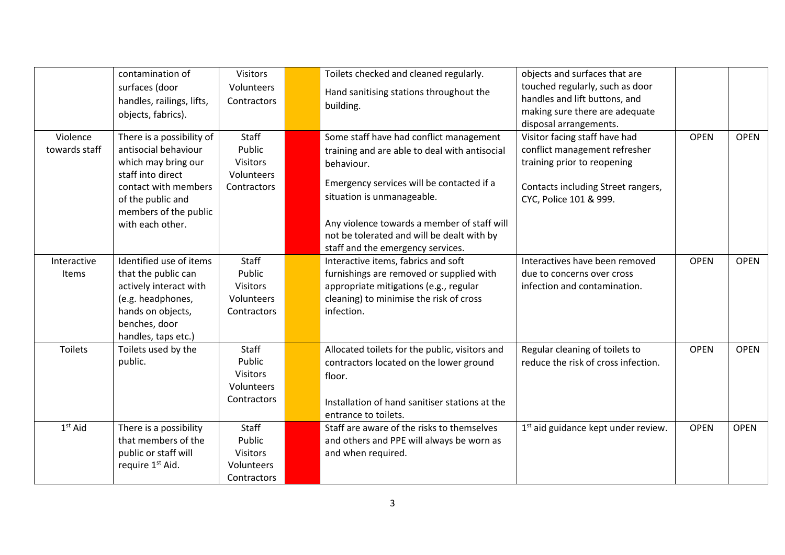|                           | contamination of                                                                                                                                                                        | <b>Visitors</b>                                                        | Toilets checked and cleaned regularly.                                                                                                                                                                                                                                                                              | objects and surfaces that are                                                                                                                                 |             |             |
|---------------------------|-----------------------------------------------------------------------------------------------------------------------------------------------------------------------------------------|------------------------------------------------------------------------|---------------------------------------------------------------------------------------------------------------------------------------------------------------------------------------------------------------------------------------------------------------------------------------------------------------------|---------------------------------------------------------------------------------------------------------------------------------------------------------------|-------------|-------------|
|                           | surfaces (door<br>handles, railings, lifts,<br>objects, fabrics).                                                                                                                       | Volunteers<br>Contractors                                              | Hand sanitising stations throughout the<br>building.                                                                                                                                                                                                                                                                | touched regularly, such as door<br>handles and lift buttons, and<br>making sure there are adequate<br>disposal arrangements.                                  |             |             |
| Violence<br>towards staff | There is a possibility of<br>antisocial behaviour<br>which may bring our<br>staff into direct<br>contact with members<br>of the public and<br>members of the public<br>with each other. | <b>Staff</b><br>Public<br><b>Visitors</b><br>Volunteers<br>Contractors | Some staff have had conflict management<br>training and are able to deal with antisocial<br>behaviour.<br>Emergency services will be contacted if a<br>situation is unmanageable.<br>Any violence towards a member of staff will<br>not be tolerated and will be dealt with by<br>staff and the emergency services. | Visitor facing staff have had<br>conflict management refresher<br>training prior to reopening<br>Contacts including Street rangers,<br>CYC, Police 101 & 999. | <b>OPEN</b> | <b>OPEN</b> |
| Interactive<br>Items      | Identified use of items<br>that the public can<br>actively interact with<br>(e.g. headphones,<br>hands on objects,<br>benches, door<br>handles, taps etc.)                              | Staff<br>Public<br><b>Visitors</b><br>Volunteers<br>Contractors        | Interactive items, fabrics and soft<br>furnishings are removed or supplied with<br>appropriate mitigations (e.g., regular<br>cleaning) to minimise the risk of cross<br>infection.                                                                                                                                  | Interactives have been removed<br>due to concerns over cross<br>infection and contamination.                                                                  | <b>OPEN</b> | <b>OPEN</b> |
| <b>Toilets</b>            | Toilets used by the<br>public.                                                                                                                                                          | <b>Staff</b><br>Public<br><b>Visitors</b><br>Volunteers<br>Contractors | Allocated toilets for the public, visitors and<br>contractors located on the lower ground<br>floor.<br>Installation of hand sanitiser stations at the<br>entrance to toilets.                                                                                                                                       | Regular cleaning of toilets to<br>reduce the risk of cross infection.                                                                                         | <b>OPEN</b> | <b>OPEN</b> |
| $1st$ Aid                 | There is a possibility<br>that members of the<br>public or staff will<br>require 1 <sup>st</sup> Aid.                                                                                   | Staff<br>Public<br><b>Visitors</b><br>Volunteers<br>Contractors        | Staff are aware of the risks to themselves<br>and others and PPE will always be worn as<br>and when required.                                                                                                                                                                                                       | 1 <sup>st</sup> aid guidance kept under review.                                                                                                               | <b>OPEN</b> | <b>OPEN</b> |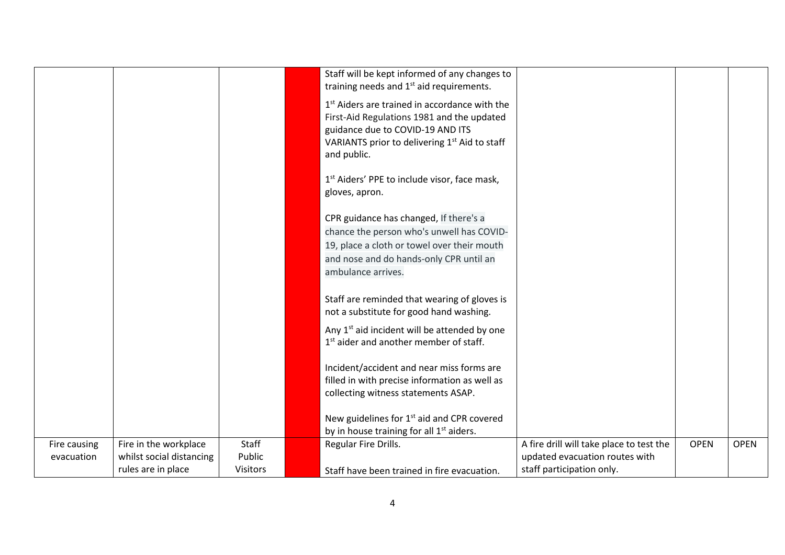|                            |                                                                         |                                    | Staff will be kept informed of any changes to<br>training needs and 1 <sup>st</sup> aid requirements.<br>1 <sup>st</sup> Aiders are trained in accordance with the                                  |                                                                                                         |             |             |
|----------------------------|-------------------------------------------------------------------------|------------------------------------|-----------------------------------------------------------------------------------------------------------------------------------------------------------------------------------------------------|---------------------------------------------------------------------------------------------------------|-------------|-------------|
|                            |                                                                         |                                    | First-Aid Regulations 1981 and the updated<br>guidance due to COVID-19 AND ITS<br>VARIANTS prior to delivering 1 <sup>st</sup> Aid to staff<br>and public.                                          |                                                                                                         |             |             |
|                            |                                                                         |                                    | 1 <sup>st</sup> Aiders' PPE to include visor, face mask,<br>gloves, apron.                                                                                                                          |                                                                                                         |             |             |
|                            |                                                                         |                                    | CPR guidance has changed, If there's a<br>chance the person who's unwell has COVID-<br>19, place a cloth or towel over their mouth<br>and nose and do hands-only CPR until an<br>ambulance arrives. |                                                                                                         |             |             |
|                            |                                                                         |                                    | Staff are reminded that wearing of gloves is<br>not a substitute for good hand washing.                                                                                                             |                                                                                                         |             |             |
|                            |                                                                         |                                    | Any 1 <sup>st</sup> aid incident will be attended by one<br>1 <sup>st</sup> aider and another member of staff.                                                                                      |                                                                                                         |             |             |
|                            |                                                                         |                                    | Incident/accident and near miss forms are<br>filled in with precise information as well as<br>collecting witness statements ASAP.                                                                   |                                                                                                         |             |             |
|                            |                                                                         |                                    | New guidelines for 1 <sup>st</sup> aid and CPR covered<br>by in house training for all 1 <sup>st</sup> aiders.                                                                                      |                                                                                                         |             |             |
| Fire causing<br>evacuation | Fire in the workplace<br>whilst social distancing<br>rules are in place | Staff<br>Public<br><b>Visitors</b> | Regular Fire Drills.<br>Staff have been trained in fire evacuation.                                                                                                                                 | A fire drill will take place to test the<br>updated evacuation routes with<br>staff participation only. | <b>OPEN</b> | <b>OPEN</b> |